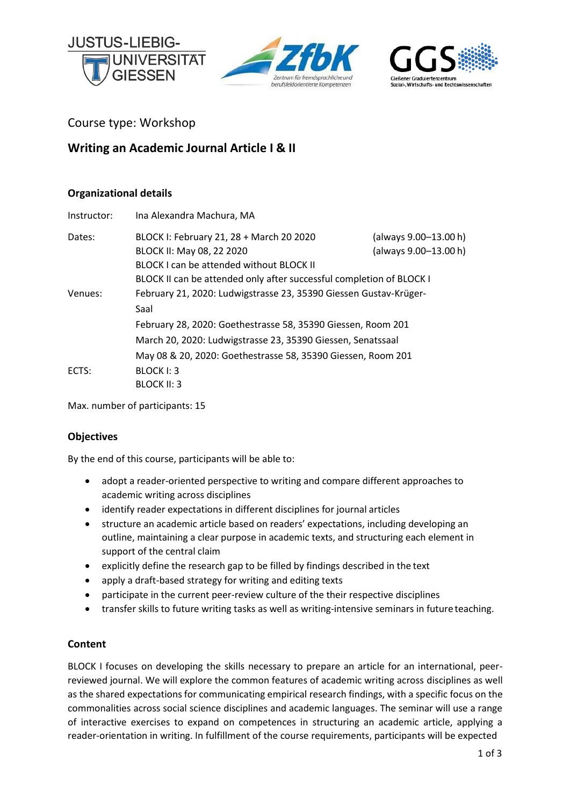





Course type: Workshop

# **Writing an Academic Journal Article I & II**

# **Organizational details**

| Instructor: | Ina Alexandra Machura, MA                                            |                       |  |
|-------------|----------------------------------------------------------------------|-----------------------|--|
| Dates:      | BLOCK I: February 21, 28 + March 20 2020                             | (always 9.00-13.00 h) |  |
|             | BLOCK II: May 08, 22 2020                                            | (always 9.00-13.00 h) |  |
|             | BLOCK I can be attended without BLOCK II                             |                       |  |
|             | BLOCK II can be attended only after successful completion of BLOCK I |                       |  |
| Venues:     | February 21, 2020: Ludwigstrasse 23, 35390 Giessen Gustav-Krüger-    |                       |  |
|             | Saal                                                                 |                       |  |
|             | February 28, 2020: Goethestrasse 58, 35390 Giessen, Room 201         |                       |  |
|             | March 20, 2020: Ludwigstrasse 23, 35390 Giessen, Senatssaal          |                       |  |
|             | May 08 & 20, 2020: Goethestrasse 58, 35390 Giessen, Room 201         |                       |  |
| ECTS:       | BLOCK I: 3                                                           |                       |  |
|             | <b>BLOCK II: 3</b>                                                   |                       |  |

Max. number of participants: 15

# **Objectives**

By the end of this course, participants will be able to:

- adopt a reader-oriented perspective to writing and compare different approaches to academic writing across disciplines
- identify reader expectations in different disciplines for journal articles
- structure an academic article based on readers' expectations, including developing an outline, maintaining a clear purpose in academic texts, and structuring each element in support of the central claim
- explicitly define the research gap to be filled by findings described in the text
- apply a draft-based strategy for writing and editing texts
- participate in the current peer-review culture of the their respective disciplines
- transfer skills to future writing tasks as well as writing-intensive seminars in future teaching.

# **Content**

BLOCK I focuses on developing the skills necessary to prepare an article for an international, peerreviewed journal. We will explore the common features of academic writing across disciplines as well as the shared expectations for communicating empirical research findings, with a specific focus on the commonalities across social science disciplines and academic languages. The seminar will use a range of interactive exercises to expand on competences in structuring an academic article, applying a reader-orientation in writing. In fulfillment of the course requirements, participants will be expected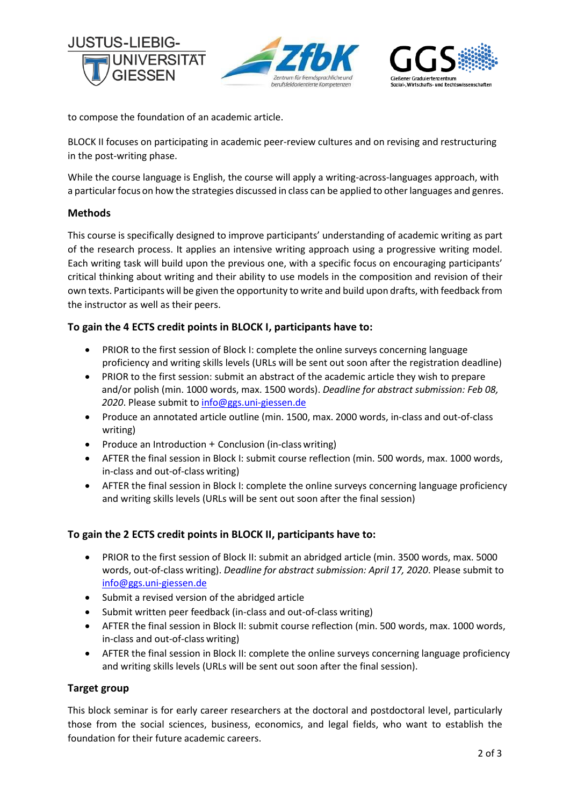





to compose the foundation of an academic article.

BLOCK II focuses on participating in academic peer-review cultures and on revising and restructuring in the post-writing phase.

While the course language is English, the course will apply a writing-across-languages approach, with a particular focus on how the strategies discussed in class can be applied to other languages and genres.

### **Methods**

This course is specifically designed to improve participants' understanding of academic writing as part of the research process. It applies an intensive writing approach using a progressive writing model. Each writing task will build upon the previous one, with a specific focus on encouraging participants' critical thinking about writing and their ability to use models in the composition and revision of their own texts. Participants will be given the opportunity to write and build upon drafts, with feedback from the instructor as well as their peers.

# **To gain the 4 ECTS credit points in BLOCK I, participants have to:**

- PRIOR to the first session of Block I: complete the online surveys concerning language proficiency and writing skills levels (URLs will be sent out soon after the registration deadline)
- PRIOR to the first session: submit an abstract of the academic article they wish to prepare and/or polish (min. 1000 words, max. 1500 words). *Deadline for abstract submission: Feb 08,* 2020. Please submit t[o info@ggs.uni-giessen.de](mailto:info@ggs.uni-giessen.de)
- Produce an annotated article outline (min. 1500, max. 2000 words, in-class and out-of-class writing)
- Produce an Introduction + Conclusion (in-class writing)
- AFTER the final session in Block I: submit course reflection (min. 500 words, max. 1000 words, in-class and out-of-class writing)
- AFTER the final session in Block I: complete the online surveys concerning language proficiency and writing skills levels (URLs will be sent out soon after the final session)

#### **To gain the 2 ECTS credit points in BLOCK II, participants have to:**

- PRIOR to the first session of Block II: submit an abridged article (min. 3500 words, max. 5000 words, out-of-class writing). *Deadline for abstract submission: April 17, 2020*. Please submit to [info@ggs.uni-giessen.de](mailto:info@ggs.uni-giessen.de)
- Submit a revised version of the abridged article
- Submit written peer feedback (in-class and out-of-class writing)
- AFTER the final session in Block II: submit course reflection (min. 500 words, max. 1000 words, in-class and out-of-class writing)
- AFTER the final session in Block II: complete the online surveys concerning language proficiency and writing skills levels (URLs will be sent out soon after the final session).

#### **Target group**

This block seminar is for early career researchers at the doctoral and postdoctoral level, particularly those from the social sciences, business, economics, and legal fields, who want to establish the foundation for their future academic careers.